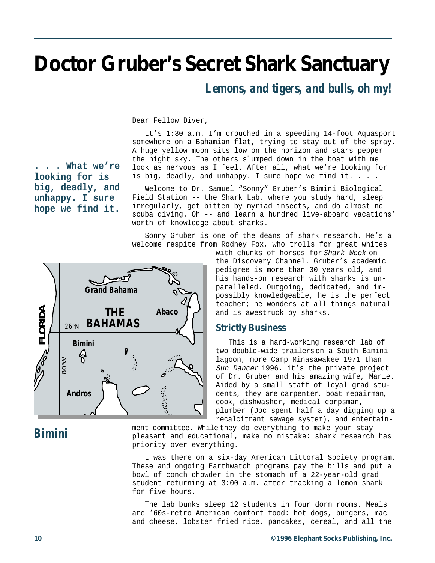# **Doctor Gruber's Secret Shark Sanctuary**

#### *Lemons, and tigers, and bulls, oh my!*

Dear Fellow Diver,

It's 1:30 a.m. I'm crouched in a speeding 14-foot Aquasport somewhere on a Bahamian flat, trying to stay out of the spray. A huge yellow moon sits low on the horizon and stars pepper the night sky. The others slumped down in the boat with me look as nervous as I feel. After all, what we're looking for is big, deadly, and unhappy. I sure hope we find it. . . .

Welcome to Dr. Samuel "Sonny" Gruber's Bimini Biological Field Station -- the Shark Lab, where you study hard, sleep irregularly, get bitten by myriad insects, and do almost no scuba diving. Oh -- and learn a hundred live-aboard vacations' worth of knowledge about sharks.

Sonny Gruber is one of the deans of shark research. He's a welcome respite from Rodney Fox, who trolls for great whites

**Grand Bahama FLORIDA Abaco THE** 26°N **BAHAMAS Bimini**  $\delta$ 80°W **Islands Nassau Andros New Pr**

**. . . What we're**

**looking for is big, deadly, and unhappy. I sure hope we find it.**

with chunks of horses for Shark Week on the Discovery Channel. Gruber's academic pedigree is more than 30 years old, and his hands-on research with sharks is unparalleled. Outgoing, dedicated, and impossibly knowledgeable, he is the perfect teacher; he wonders at all things natural

#### **Strictly Business**

This is a hard-working research lab of two double-wide trailers on a South Bimini lagoon, more Camp Minasawakee 1971 than Sun Dancer 1996. it's the private project of Dr. Gruber and his amazing wife, Marie. Aided by a small staff of loyal grad students, they are carpenter, boat repairman, cook, dishwasher, medical corpsman, plumber (Doc spent half a day digging up a recalcitrant sewage system), and entertain-

### *Bimini*

ment committee. While they do everything to make your stay pleasant and educational, make no mistake: shark research has priority over everything.

I was there on a six-day American Littoral Society program. These and ongoing Earthwatch programs pay the bills and put a bowl of conch chowder in the stomach of a 22-year-old grad student returning at 3:00 a.m. after tracking a lemon shark for five hours.

The lab bunks sleep 12 students in four dorm rooms. Meals are '60s-retro American comfort food: hot dogs, burgers, mac and cheese, lobster fried rice, pancakes, cereal, and all the

and is awestruck by sharks.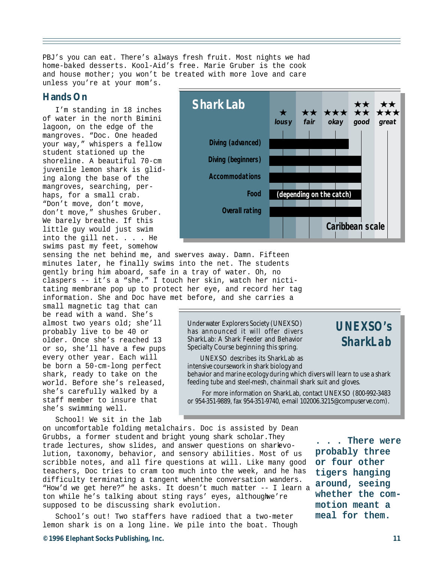PBJ's you can eat. There's always fresh fruit. Most nights we had home-baked desserts. Kool-Aid's free. Marie Gruber is the cook and house mother; you won't be treated with more love and care unless you're at your mom's.

#### **Hands On**

I'm standing in 18 inches of water in the north Bimini lagoon, on the edge of the mangroves. "Doc. One headed your way," whispers a fellow student stationed up the shoreline. A beautiful 70-cm juvenile lemon shark is gliding along the base of the mangroves, searching, perhaps, for a small crab. "Don't move, don't move, don't move," shushes Gruber. We barely breathe. If this little guy would just swim into the gill net. . . . He swims past my feet, somehow

sensing the net behind me, and swerves away. Damn. Fifteen minutes later, he finally swims into the net. The students gently bring him aboard, safe in a tray of water. Oh, no claspers -- it's a "she." I touch her skin, watch her nictitating membrane pop up to protect her eye, and record her tag information. She and Doc have met before, and she carries a

small magnetic tag that can be read with a wand. She's almost two years old; she'll probably live to be 40 or older. Once she's reached 13 or so, she'll have a few pups every other year. Each will be born a 50-cm-long perfect shark, ready to take on the world. Before she's released, she's carefully walked by a staff member to insure that she's swimming well.

School! We sit in the lab



Underwater Explorers Society (UNEXSO) has announced it will offer divers SharkLab: A Shark Feeder and Behavior Specialty Course beginning this spring.

*UNEXSO's SharkLab*

UNEXSO describes its SharkLab as intensive coursework in shark biology and behavior and marine ecology during which divers will learn to use a shark feeding tube and steel-mesh, chainmail shark suit and gloves.

 For more information on SharkLab, contact UNEXSO (800-992-3483 or 954-351-9889, fax 954-351-9740, e-mail 102006.3215@compuserve.com).

on uncomfortable folding metal chairs. Doc is assisted by Dean Grubbs, a former student and bright young shark scholar. They trade lectures, show slides, and answer questions on shark evolution, taxonomy, behavior, and sensory abilities. Most of us scribble notes, and all fire questions at will. Like many good teachers, Doc tries to cram too much into the week, and he has difficulty terminating a tangent when the conversation wanders. "How'd we get here?" he asks. It doesn't much matter -- I learn a ton while he's talking about sting rays' eyes, althoughwe're supposed to be discussing shark evolution.

School's out! Two staffers have radioed that a two-meter lemon shark is on a long line. We pile into the boat. Though

**. . . There were probably three or four other tigers hanging around, seeing whether the commotion meant a meal for them.**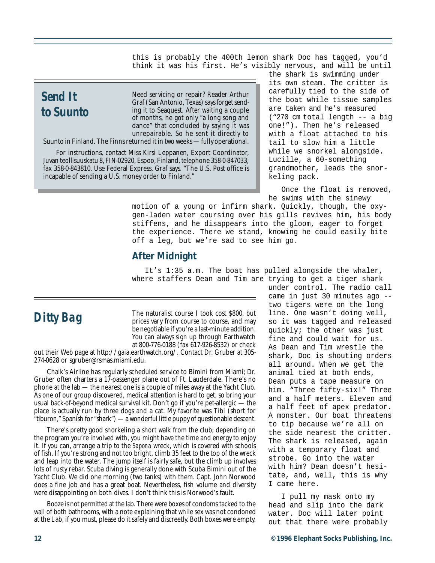this is probably the 400th lemon shark Doc has tagged, you'd think it was his first. He's visibly nervous, and will be until

## *Send It to Suunto*

Need servicing or repair? Reader Arthur Graf (San Antonio, Texas) says forget sending it to Seaquest. After waiting a couple of months, he got only "a long song and dance" that concluded by saying it was unrepairable. So he sent it directly to

Suunto in Finland. The Finns returned it in two weeks — fully operational.

For instructions, contact Miss Kirsi Leppanen, Export Coordinator, Juvan teollisuuskatu 8, FIN-02920, Espoo, Finland, telephone 358-0-847033, fax 358-0-843810. Use Federal Express, Graf says. "The U.S. Post office is incapable of sending a U.S. money order to Finland."

the shark is swimming under its own steam. The critter is carefully tied to the side of the boat while tissue samples are taken and he's measured ("270 cm total length -- a big one!"). Then he's released with a float attached to his tail to slow him a little while we snorkel alongside. Lucille, a 60-something grandmother, leads the snorkeling pack.

Once the float is removed, he swims with the sinewy

motion of a young or infirm shark. Quickly, though, the oxygen-laden water coursing over his gills revives him, his body stiffens, and he disappears into the gloom, eager to forget the experience. There we stand, knowing he could easily bite off a leg, but we're sad to see him go.

#### **After Midnight**

It's 1:35 a.m. The boat has pulled alongside the whaler, where staffers Dean and Tim are trying to get a tiger shark

## *Ditty Bag*

The naturalist course I took cost \$800, but prices vary from course to course, and may be negotiable if you're a last-minute addition. You can always sign up through Earthwatch at 800-776-0188 (fax 617-926-8532) or check

out their Web page at http://gaia.earthwatch.org/. Contact Dr. Gruber at 305- 274-0628 or sgruber@rsmas.miami.edu.

Chalk's Airline has regularly scheduled service to Bimini from Miami; Dr. Gruber often charters a 17-passenger plane out of Ft. Lauderdale. There's no phone at the lab — the nearest one is a couple of miles away at the Yacht Club. As one of our group discovered, medical attention is hard to get, so bring your usual back-of-beyond medical survival kit. Don't go if you're pet-allergic — the place is actually run by three dogs and a cat. My favorite was Tibi (short for "tiburon," Spanish for "shark") — a wonderful little puppy of questionable descent.

There's pretty good snorkeling a short walk from the club; depending on the program you're involved with, you might have the time and energy to enjoy it. If you can, arrange a trip to the *Sapona* wreck, which is covered with schools of fish. If you're strong and not too bright, climb 35 feet to the top of the wreck and leap into the water. The jump itself is fairly safe, but the climb up involves lots of rusty rebar. Scuba diving is generally done with Scuba Bimini out of the Yacht Club. We did one morning (two tanks) with them. Capt. John Norwood does a fine job and has a great boat. Nevertheless, fish volume and diversity were disappointing on both dives. I don't think this is Norwood's fault.

Booze is not permitted at the lab. There were boxes of condoms tacked to the wall of both bathrooms, with a note explaining that while sex was not condoned at the Lab, if you must, please do it safely and discreetly. Both boxes were empty.

under control. The radio call came in just 30 minutes ago - two tigers were on the long line. One wasn't doing well, so it was tagged and released quickly; the other was just fine and could wait for us. As Dean and Tim wrestle the shark, Doc is shouting orders all around. When we get the animal tied at both ends, Dean puts a tape measure on him. "Three fifty-six!" Three and a half meters. Eleven and a half feet of apex predator. A monster. Our boat threatens to tip because we're all on the side nearest the critter. The shark is released, again with a temporary float and strobe. Go into the water with him? Dean doesn't hesitate, and, well, this is why I came here.

I pull my mask onto my head and slip into the dark water. Doc will later point out that there were probably